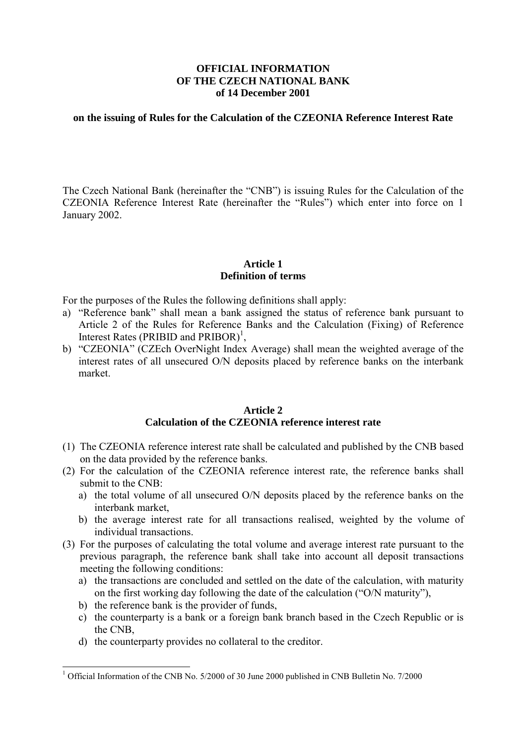### **OFFICIAL INFORMATION OF THE CZECH NATIONAL BANK of 14 December 2001**

#### **on the issuing of Rules for the Calculation of the CZEONIA Reference Interest Rate**

The Czech National Bank (hereinafter the "CNB") is issuing Rules for the Calculation of the CZEONIA Reference Interest Rate (hereinafter the "Rules") which enter into force on 1 January 2002.

## **Article 1 Definition of terms**

For the purposes of the Rules the following definitions shall apply:

- a) "Reference bank" shall mean a bank assigned the status of reference bank pursuant to Article 2 of the Rules for Reference Banks and the Calculation (Fixing) of Reference Interest Rates (PRIBID and PRIBOR)<sup>1</sup>,
- b) "CZEONIA" (CZEch OverNight Index Average) shall mean the weighted average of the interest rates of all unsecured O/N deposits placed by reference banks on the interbank market.

### **Article 2 Calculation of the CZEONIA reference interest rate**

- (1) The CZEONIA reference interest rate shall be calculated and published by the CNB based on the data provided by the reference banks.
- (2) For the calculation of the CZEONIA reference interest rate, the reference banks shall submit to the CNB:
	- a) the total volume of all unsecured O/N deposits placed by the reference banks on the interbank market,
	- b) the average interest rate for all transactions realised, weighted by the volume of individual transactions.
- (3) For the purposes of calculating the total volume and average interest rate pursuant to the previous paragraph, the reference bank shall take into account all deposit transactions meeting the following conditions:
	- a) the transactions are concluded and settled on the date of the calculation, with maturity on the first working day following the date of the calculation ("O/N maturity"),
	- b) the reference bank is the provider of funds,
	- c) the counterparty is a bank or a foreign bank branch based in the Czech Republic or is the CNB,
	- d) the counterparty provides no collateral to the creditor.

<sup>&</sup>lt;sup>1</sup> Official Information of the CNB No. 5/2000 of 30 June 2000 published in CNB Bulletin No. 7/2000